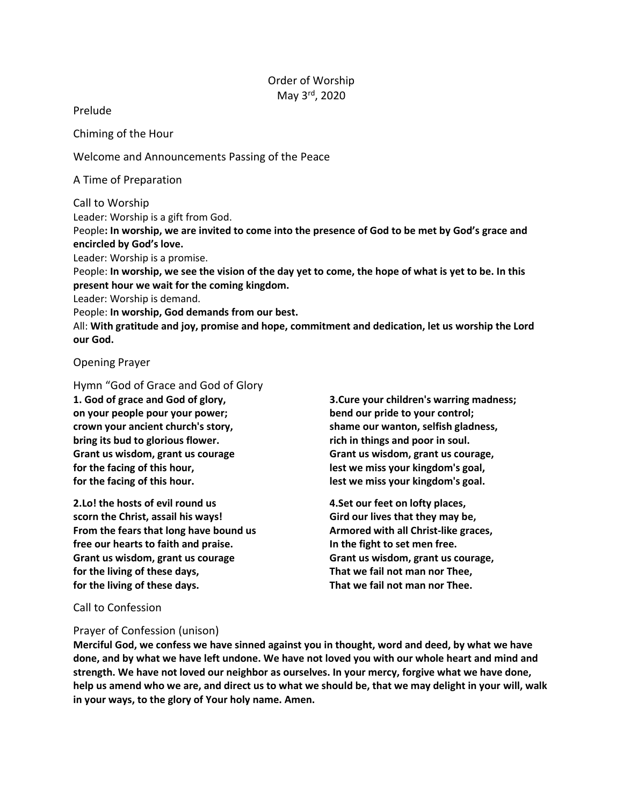# Order of Worship May 3rd, 2020

## Prelude

Chiming of the Hour

Welcome and Announcements Passing of the Peace

A Time of Preparation

Call to Worship

Leader: Worship is a gift from God.

People**: In worship, we are invited to come into the presence of God to be met by God's grace and encircled by God's love.**

Leader: Worship is a promise.

People: **In worship, we see the vision of the day yet to come, the hope of what is yet to be. In this present hour we wait for the coming kingdom.**

Leader: Worship is demand.

People: **In worship, God demands from our best.**

All: **With gratitude and joy, promise and hope, commitment and dedication, let us worship the Lord our God.**

Opening Prayer

Hymn "God of Grace and God of Glory **1. God of grace and God of glory, on your people pour your power; crown your ancient church's story, bring its bud to glorious flower. Grant us wisdom, grant us courage for the facing of this hour, for the facing of this hour.**

**2.Lo! the hosts of evil round us scorn the Christ, assail his ways! From the fears that long have bound us free our hearts to faith and praise. Grant us wisdom, grant us courage for the living of these days, for the living of these days.**

**3.Cure your children's warring madness; bend our pride to your control; shame our wanton, selfish gladness, rich in things and poor in soul. Grant us wisdom, grant us courage, lest we miss your kingdom's goal, lest we miss your kingdom's goal.**

**4.Set our feet on lofty places, Gird our lives that they may be, Armored with all Christ-like graces, In the fight to set men free. Grant us wisdom, grant us courage, That we fail not man nor Thee, That we fail not man nor Thee.**

Call to Confession

# Prayer of Confession (unison)

**Merciful God, we confess we have sinned against you in thought, word and deed, by what we have done, and by what we have left undone. We have not loved you with our whole heart and mind and strength. We have not loved our neighbor as ourselves. In your mercy, forgive what we have done, help us amend who we are, and direct us to what we should be, that we may delight in your will, walk in your ways, to the glory of Your holy name. Amen.**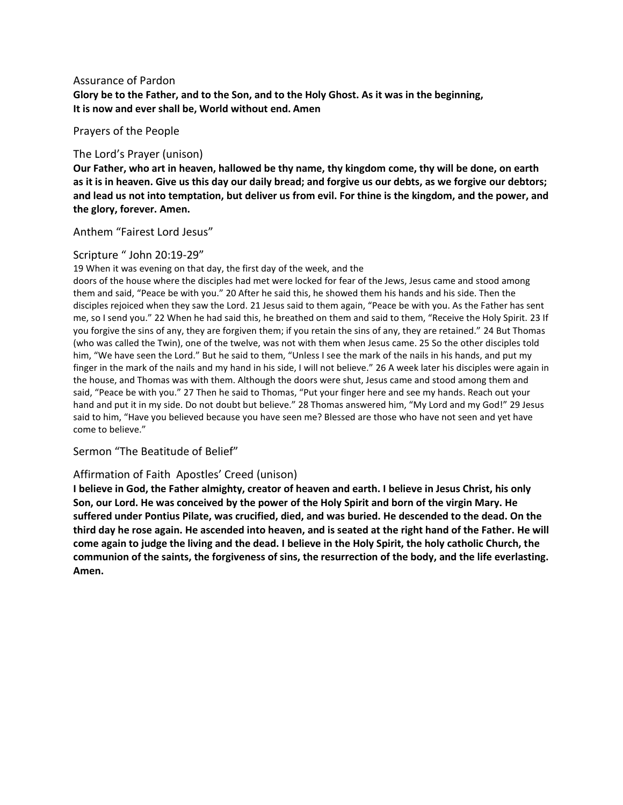## Assurance of Pardon

**Glory be to the Father, and to the Son, and to the Holy Ghost. As it was in the beginning, It is now and ever shall be, World without end. Amen**

Prayers of the People

## The Lord's Prayer (unison)

**Our Father, who art in heaven, hallowed be thy name, thy kingdom come, thy will be done, on earth as it is in heaven. Give us this day our daily bread; and forgive us our debts, as we forgive our debtors; and lead us not into temptation, but deliver us from evil. For thine is the kingdom, and the power, and the glory, forever. Amen.**

Anthem "Fairest Lord Jesus"

## Scripture " John 20:19-29"

19 When it was evening on that day, the first day of the week, and the

doors of the house where the disciples had met were locked for fear of the Jews, Jesus came and stood among them and said, "Peace be with you." 20 After he said this, he showed them his hands and his side. Then the disciples rejoiced when they saw the Lord. 21 Jesus said to them again, "Peace be with you. As the Father has sent me, so I send you." 22 When he had said this, he breathed on them and said to them, "Receive the Holy Spirit. 23 If you forgive the sins of any, they are forgiven them; if you retain the sins of any, they are retained." 24 But Thomas (who was called the Twin), one of the twelve, was not with them when Jesus came. 25 So the other disciples told him, "We have seen the Lord." But he said to them, "Unless I see the mark of the nails in his hands, and put my finger in the mark of the nails and my hand in his side, I will not believe." 26 A week later his disciples were again in the house, and Thomas was with them. Although the doors were shut, Jesus came and stood among them and said, "Peace be with you." 27 Then he said to Thomas, "Put your finger here and see my hands. Reach out your hand and put it in my side. Do not doubt but believe." 28 Thomas answered him, "My Lord and my God!" 29 Jesus said to him, "Have you believed because you have seen me? Blessed are those who have not seen and yet have come to believe."

Sermon "The Beatitude of Belief"

# Affirmation of Faith Apostles' Creed (unison)

**I believe in God, the Father almighty, creator of heaven and earth. I believe in Jesus Christ, his only Son, our Lord. He was conceived by the power of the Holy Spirit and born of the virgin Mary. He suffered under Pontius Pilate, was crucified, died, and was buried. He descended to the dead. On the third day he rose again. He ascended into heaven, and is seated at the right hand of the Father. He will come again to judge the living and the dead. I believe in the Holy Spirit, the holy catholic Church, the communion of the saints, the forgiveness of sins, the resurrection of the body, and the life everlasting. Amen.**